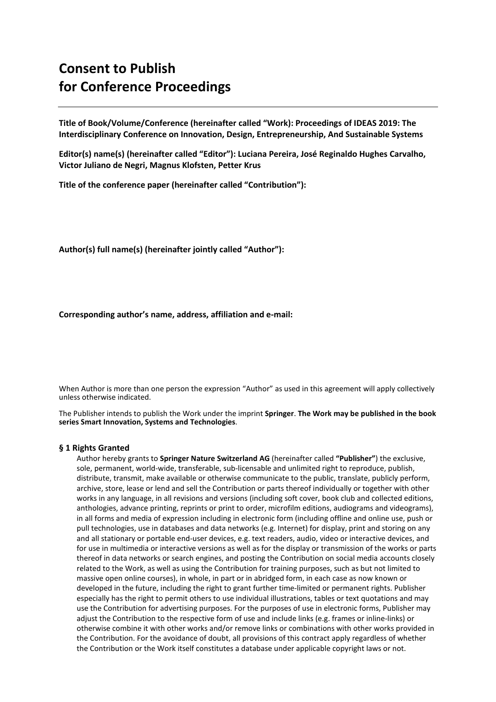# **Consent to Publish for Conference Proceedings**

**Title of Book/Volume/Conference (hereinafter called "Work): Proceedings of IDEAS 2019: The Interdisciplinary Conference on Innovation, Design, Entrepreneurship, And Sustainable Systems**

**Editor(s) name(s) (hereinafter called "Editor"): Luciana Pereira, José Reginaldo Hughes Carvalho, Victor Juliano de Negri, Magnus Klofsten, Petter Krus**

**Title of the conference paper (hereinafter called "Contribution"):** 

**Author(s) full name(s) (hereinafter jointly called "Author"):** 

**Corresponding author's name, address, affiliation and e-mail:** 

When Author is more than one person the expression "Author" as used in this agreement will apply collectively unless otherwise indicated.

The Publisher intends to publish the Work under the imprint **Springer**. **The Work may be published in the book series Smart Innovation, Systems and Technologies**.

## **§ 1 Rights Granted**

Author hereby grants to **Springer Nature Switzerland AG** (hereinafter called **"Publisher"**) the exclusive, sole, permanent, world-wide, transferable, sub-licensable and unlimited right to reproduce, publish, distribute, transmit, make available or otherwise communicate to the public, translate, publicly perform, archive, store, lease or lend and sell the Contribution or parts thereof individually or together with other works in any language, in all revisions and versions (including soft cover, book club and collected editions, anthologies, advance printing, reprints or print to order, microfilm editions, audiograms and videograms), in all forms and media of expression including in electronic form (including offline and online use, push or pull technologies, use in databases and data networks (e.g. Internet) for display, print and storing on any and all stationary or portable end-user devices, e.g. text readers, audio, video or interactive devices, and for use in multimedia or interactive versions as well as for the display or transmission of the works or parts thereof in data networks or search engines, and posting the Contribution on social media accounts closely related to the Work, as well as using the Contribution for training purposes, such as but not limited to massive open online courses), in whole, in part or in abridged form, in each case as now known or developed in the future, including the right to grant further time-limited or permanent rights. Publisher especially has the right to permit others to use individual illustrations, tables or text quotations and may use the Contribution for advertising purposes. For the purposes of use in electronic forms, Publisher may adjust the Contribution to the respective form of use and include links (e.g. frames or inline-links) or otherwise combine it with other works and/or remove links or combinations with other works provided in the Contribution. For the avoidance of doubt, all provisions of this contract apply regardless of whether the Contribution or the Work itself constitutes a database under applicable copyright laws or not.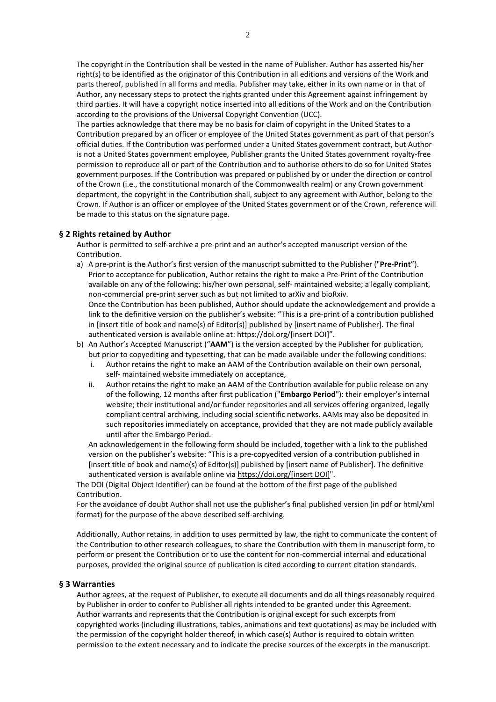The copyright in the Contribution shall be vested in the name of Publisher. Author has asserted his/her right(s) to be identified as the originator of this Contribution in all editions and versions of the Work and parts thereof, published in all forms and media. Publisher may take, either in its own name or in that of Author, any necessary steps to protect the rights granted under this Agreement against infringement by third parties. It will have a copyright notice inserted into all editions of the Work and on the Contribution according to the provisions of the Universal Copyright Convention (UCC).

The parties acknowledge that there may be no basis for claim of copyright in the United States to a Contribution prepared by an officer or employee of the United States government as part of that person's official duties. If the Contribution was performed under a United States government contract, but Author is not a United States government employee, Publisher grants the United States government royalty-free permission to reproduce all or part of the Contribution and to authorise others to do so for United States government purposes. If the Contribution was prepared or published by or under the direction or control of the Crown (i.e., the constitutional monarch of the Commonwealth realm) or any Crown government department, the copyright in the Contribution shall, subject to any agreement with Author, belong to the Crown. If Author is an officer or employee of the United States government or of the Crown, reference will be made to this status on the signature page.

## **§ 2 Rights retained by Author**

Author is permitted to self-archive a pre-print and an author's accepted manuscript version of the Contribution.

- a) A pre-print is the Author's first version of the manuscript submitted to the Publisher ("**Pre-Print**"). Prior to acceptance for publication, Author retains the right to make a Pre-Print of the Contribution available on any of the following: his/her own personal, self- maintained website; a legally compliant, non-commercial pre-print server such as but not limited to arXiv and bioRxiv. Once the Contribution has been published, Author should update the acknowledgement and provide a link to the definitive version on the publisher's website: "This is a pre-print of a contribution published in [insert title of book and name(s) of Editor(s)] published by [insert name of Publisher]. The final authenticated version is available online at: https://doi.org/[insert DOI]".
- b) An Author's Accepted Manuscript ("**AAM**") is the version accepted by the Publisher for publication, but prior to copyediting and typesetting, that can be made available under the following conditions:
	- i. Author retains the right to make an AAM of the Contribution available on their own personal, self- maintained website immediately on acceptance,
	- ii. Author retains the right to make an AAM of the Contribution available for public release on any of the following, 12 months after first publication ("**Embargo Period**"): their employer's internal website; their institutional and/or funder repositories and all services offering organized, legally compliant central archiving, including social scientific networks. AAMs may also be deposited in such repositories immediately on acceptance, provided that they are not made publicly available until after the Embargo Period.

An acknowledgement in the following form should be included, together with a link to the published version on the publisher's website: "This is a pre-copyedited version of a contribution published in [insert title of book and name(s) of Editor(s)] published by [insert name of Publisher]. The definitive authenticated version is available online via https://doi.org/[insert DOI]".

The DOI (Digital Object Identifier) can be found at the bottom of the first page of the published Contribution.

For the avoidance of doubt Author shall not use the publisher's final published version (in pdf or html/xml format) for the purpose of the above described self-archiving.

Additionally, Author retains, in addition to uses permitted by law, the right to communicate the content of the Contribution to other research colleagues, to share the Contribution with them in manuscript form, to perform or present the Contribution or to use the content for non-commercial internal and educational purposes, provided the original source of publication is cited according to current citation standards.

### **§ 3 Warranties**

Author agrees, at the request of Publisher, to execute all documents and do all things reasonably required by Publisher in order to confer to Publisher all rights intended to be granted under this Agreement. Author warrants and represents that the Contribution is original except for such excerpts from copyrighted works (including illustrations, tables, animations and text quotations) as may be included with the permission of the copyright holder thereof, in which case(s) Author is required to obtain written permission to the extent necessary and to indicate the precise sources of the excerpts in the manuscript.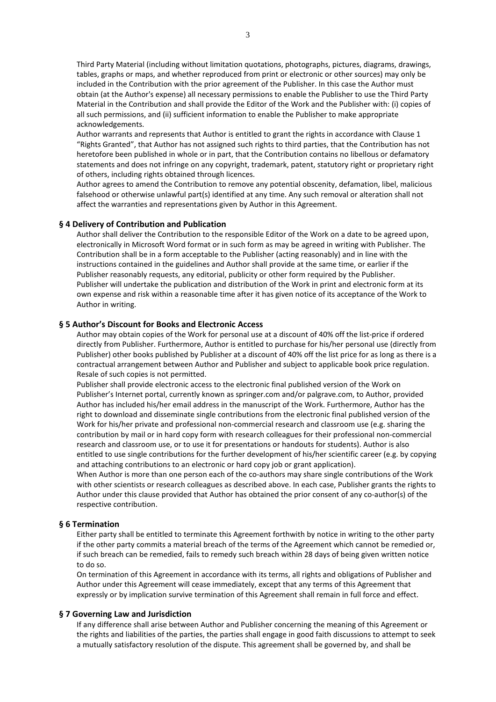Third Party Material (including without limitation quotations, photographs, pictures, diagrams, drawings, tables, graphs or maps, and whether reproduced from print or electronic or other sources) may only be included in the Contribution with the prior agreement of the Publisher. In this case the Author must obtain (at the Author's expense) all necessary permissions to enable the Publisher to use the Third Party Material in the Contribution and shall provide the Editor of the Work and the Publisher with: (i) copies of all such permissions, and (ii) sufficient information to enable the Publisher to make appropriate acknowledgements.

Author warrants and represents that Author is entitled to grant the rights in accordance with Clause 1 "Rights Granted", that Author has not assigned such rights to third parties, that the Contribution has not heretofore been published in whole or in part, that the Contribution contains no libellous or defamatory statements and does not infringe on any copyright, trademark, patent, statutory right or proprietary right of others, including rights obtained through licences.

Author agrees to amend the Contribution to remove any potential obscenity, defamation, libel, malicious falsehood or otherwise unlawful part(s) identified at any time. Any such removal or alteration shall not affect the warranties and representations given by Author in this Agreement.

### **§ 4 Delivery of Contribution and Publication**

Author shall deliver the Contribution to the responsible Editor of the Work on a date to be agreed upon, electronically in Microsoft Word format or in such form as may be agreed in writing with Publisher. The Contribution shall be in a form acceptable to the Publisher (acting reasonably) and in line with the instructions contained in the guidelines and Author shall provide at the same time, or earlier if the Publisher reasonably requests, any editorial, publicity or other form required by the Publisher. Publisher will undertake the publication and distribution of the Work in print and electronic form at its own expense and risk within a reasonable time after it has given notice of its acceptance of the Work to Author in writing.

## **§ 5 Author's Discount for Books and Electronic Access**

Author may obtain copies of the Work for personal use at a discount of 40% off the list-price if ordered directly from Publisher. Furthermore, Author is entitled to purchase for his/her personal use (directly from Publisher) other books published by Publisher at a discount of 40% off the list price for as long as there is a contractual arrangement between Author and Publisher and subject to applicable book price regulation. Resale of such copies is not permitted.

Publisher shall provide electronic access to the electronic final published version of the Work on Publisher's Internet portal, currently known as springer.com and/or palgrave.com, to Author, provided Author has included his/her email address in the manuscript of the Work. Furthermore, Author has the right to download and disseminate single contributions from the electronic final published version of the Work for his/her private and professional non-commercial research and classroom use (e.g. sharing the contribution by mail or in hard copy form with research colleagues for their professional non-commercial research and classroom use, or to use it for presentations or handouts for students). Author is also entitled to use single contributions for the further development of his/her scientific career (e.g. by copying and attaching contributions to an electronic or hard copy job or grant application).

When Author is more than one person each of the co-authors may share single contributions of the Work with other scientists or research colleagues as described above. In each case, Publisher grants the rights to Author under this clause provided that Author has obtained the prior consent of any co-author(s) of the respective contribution.

## **§ 6 Termination**

Either party shall be entitled to terminate this Agreement forthwith by notice in writing to the other party if the other party commits a material breach of the terms of the Agreement which cannot be remedied or, if such breach can be remedied, fails to remedy such breach within 28 days of being given written notice to do so.

On termination of this Agreement in accordance with its terms, all rights and obligations of Publisher and Author under this Agreement will cease immediately, except that any terms of this Agreement that expressly or by implication survive termination of this Agreement shall remain in full force and effect.

#### **§ 7 Governing Law and Jurisdiction**

If any difference shall arise between Author and Publisher concerning the meaning of this Agreement or the rights and liabilities of the parties, the parties shall engage in good faith discussions to attempt to seek a mutually satisfactory resolution of the dispute. This agreement shall be governed by, and shall be